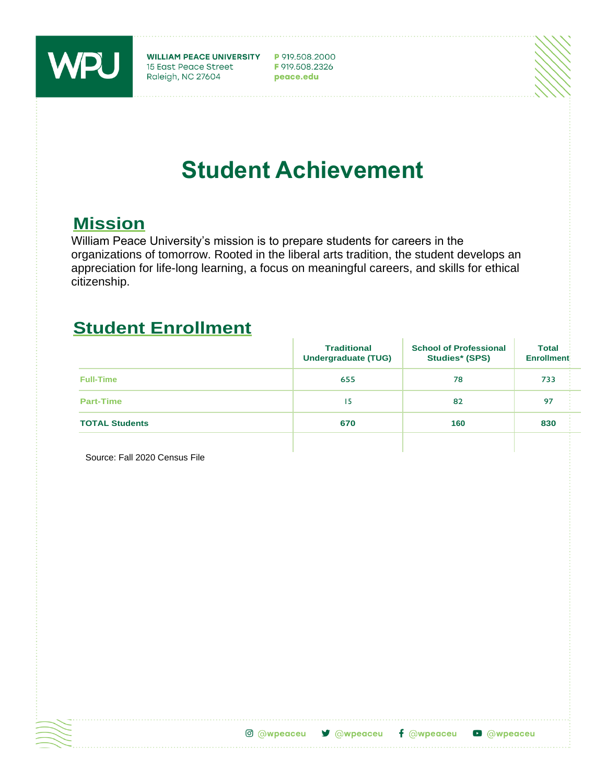

WILLIAM PEACE UNIVERSITY P 919.508.2000<br>15 East Peace Street F 919.508.2326<br>Raleigh, NC 27604 peace.edu

# **Student Achievement**

### **Mission**

William Peace University's mission is to prepare students for careers in the organizations of tomorrow. Rooted in the liberal arts tradition, the student develops an appreciation for life-long learning, a focus on meaningful careers, and skills for ethical citizenship.

### **Student Enrollment**

|                       | <b>Traditional</b><br><b>Undergraduate (TUG)</b> | <b>School of Professional</b><br><b>Studies* (SPS)</b> | <b>Total</b><br><b>Enrollment</b> |
|-----------------------|--------------------------------------------------|--------------------------------------------------------|-----------------------------------|
| <b>Full-Time</b>      | 655                                              | 78                                                     | 733                               |
| <b>Part-Time</b>      | 15                                               | 82                                                     | 97                                |
| <b>TOTAL Students</b> | 670                                              | 160                                                    | 830                               |
|                       |                                                  |                                                        |                                   |

Source: Fall 2020 Census File



C @wpeaceu **V** @wpeaceu  $f$  @wpeaceu **D** @wpeaceu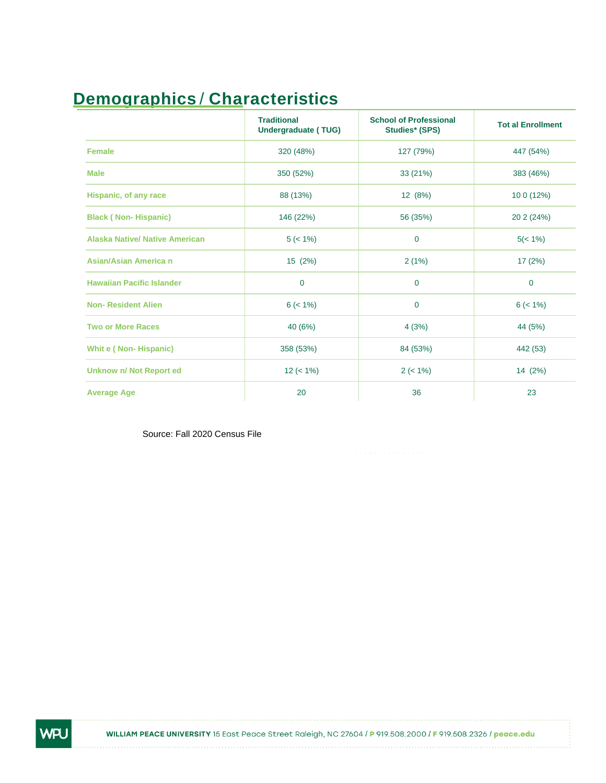# **Demographics** / **Characteristics**

|                                       | <b>Traditional</b><br><b>Undergraduate (TUG)</b> | <b>School of Professional</b><br><b>Studies* (SPS)</b> | <b>Tot al Enrollment</b> |
|---------------------------------------|--------------------------------------------------|--------------------------------------------------------|--------------------------|
| <b>Female</b>                         | 320 (48%)                                        | 127 (79%)                                              | 447 (54%)                |
| <b>Male</b>                           | 350 (52%)                                        | 33 (21%)                                               | 383 (46%)                |
| Hispanic, of any race                 | 88 (13%)                                         | 12 (8%)                                                | 10 0 (12%)               |
| <b>Black (Non-Hispanic)</b>           | 146 (22%)                                        | 56 (35%)                                               | 20 2 (24%)               |
| <b>Alaska Native/ Native American</b> | $5 (< 1\%)$                                      | $\mathbf 0$                                            | $5(< 1\%)$               |
| Asian/Asian America n                 | 15 (2%)                                          | 2(1%)                                                  | 17(2%)                   |
| <b>Hawaiian Pacific Islander</b>      | $\mathbf 0$                                      | $\mathbf 0$                                            | $\mathbf 0$              |
| <b>Non-Resident Alien</b>             | $6 (< 1\%)$                                      | $\mathbf 0$                                            | $6 (< 1\%)$              |
| <b>Two or More Races</b>              | 40 (6%)                                          | 4(3%)                                                  | 44 (5%)                  |
| <b>Whit e (Non-Hispanic)</b>          | 358 (53%)                                        | 84 (53%)                                               | 442 (53)                 |
| <b>Unknow n/ Not Report ed</b>        | $12 (< 1\%)$                                     | $2 (< 1\%)$                                            | 14 (2%)                  |
| <b>Average Age</b>                    | 20                                               | 36                                                     | 23                       |

Source: Fall 2020 Census File

WPU

WILLIAM PEACE UNIVERSITY 15 East Peace Street Raleigh, NC 27604 / P 919.508.2000 / F 919.508.2326 / peace.edu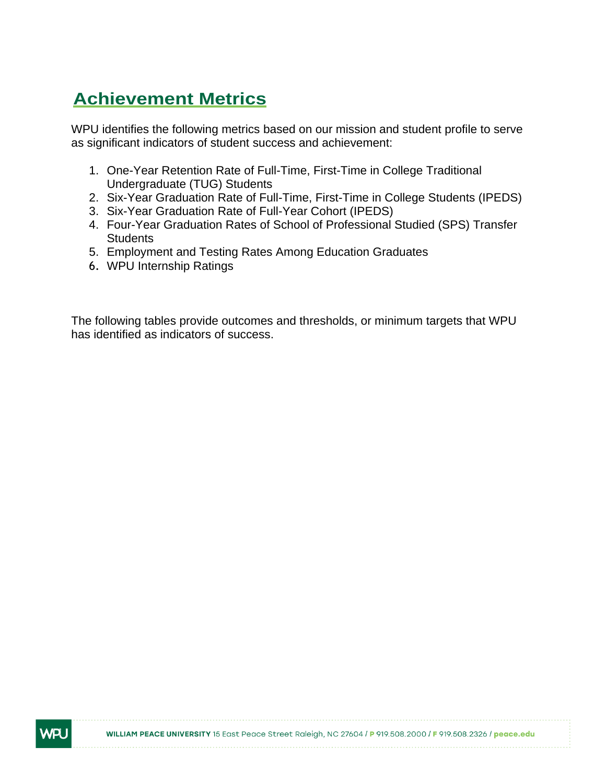## **Achievement Metrics**

WPU identifies the following metrics based on our mission and student profile to serve as significant indicators of student success and achievement:

- 1. One-Year Retention Rate of Full-Time, First-Time in College Traditional Undergraduate (TUG) Students
- 2. Six-Year Graduation Rate of Full-Time, First-Time in College Students (IPEDS)
- 3. Six-Year Graduation Rate of Full-Year Cohort (IPEDS)
- 4. Four-Year Graduation Rates of School of Professional Studied (SPS) Transfer **Students**
- 5. Employment and Testing Rates Among Education Graduates
- 6. WPU Internship Ratings

NR.

The following tables provide outcomes and thresholds, or minimum targets that WPU has identified as indicators of success.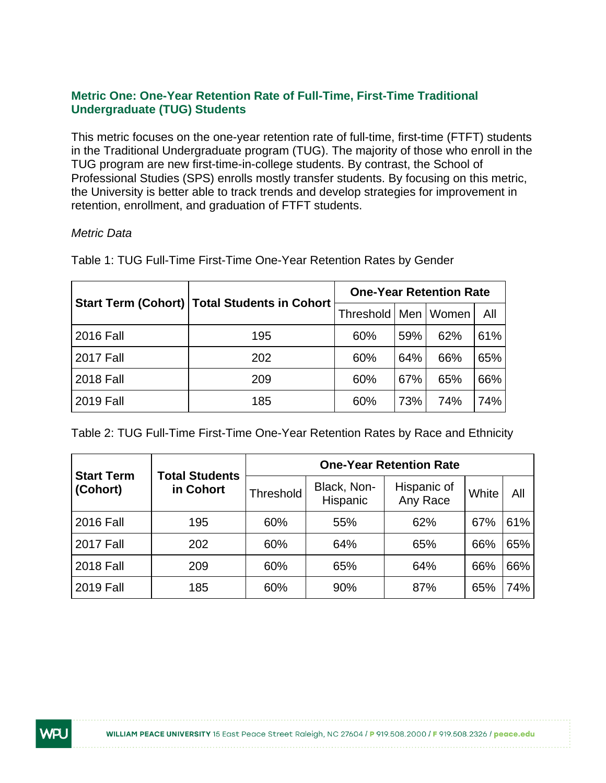#### **Metric One: One-Year Retention Rate of Full-Time, First-Time Traditional Undergraduate (TUG) Students**

This metric focuses on the one-year retention rate of full-time, first-time (FTFT) students in the Traditional Undergraduate program (TUG). The majority of those who enroll in the TUG program are new first-time-in-college students. By contrast, the School of Professional Studies (SPS) enrolls mostly transfer students. By focusing on this metric, the University is better able to track trends and develop strategies for improvement in retention, enrollment, and graduation of FTFT students.

#### *Metric Data*

|                  |                                                | <b>One-Year Retention Rate</b> |     |                         |     |  |
|------------------|------------------------------------------------|--------------------------------|-----|-------------------------|-----|--|
|                  | Start Term (Cohort)   Total Students in Cohort |                                |     | Threshold   Men   Women | All |  |
| 2016 Fall        | 195                                            | 60%                            | 59% | 62%                     | 61% |  |
| <b>2017 Fall</b> | 202                                            | 60%                            | 64% | 66%                     | 65% |  |
| <b>2018 Fall</b> | 209                                            | 60%                            | 67% | 65%                     | 66% |  |
| <b>2019 Fall</b> | 185                                            | 60%                            | 73% | 74%                     | 74% |  |

Table 1: TUG Full-Time First-Time One-Year Retention Rates by Gender

Table 2: TUG Full-Time First-Time One-Year Retention Rates by Race and Ethnicity

|                               |                                    | <b>One-Year Retention Rate</b> |                         |                         |       |     |  |  |  |
|-------------------------------|------------------------------------|--------------------------------|-------------------------|-------------------------|-------|-----|--|--|--|
| <b>Start Term</b><br>(Cohort) | <b>Total Students</b><br>in Cohort | Threshold                      | Black, Non-<br>Hispanic | Hispanic of<br>Any Race | White | All |  |  |  |
| <b>2016 Fall</b>              | 195                                | 60%                            | 55%                     | 62%                     | 67%   | 61% |  |  |  |
| <b>2017 Fall</b>              | 202                                | 60%                            | 64%                     | 65%                     | 66%   | 65% |  |  |  |
| <b>2018 Fall</b>              | 209                                | 60%                            | 65%                     | 64%                     | 66%   | 66% |  |  |  |
| <b>2019 Fall</b>              | 185                                | 60%                            | 90%                     | 87%                     | 65%   | 74% |  |  |  |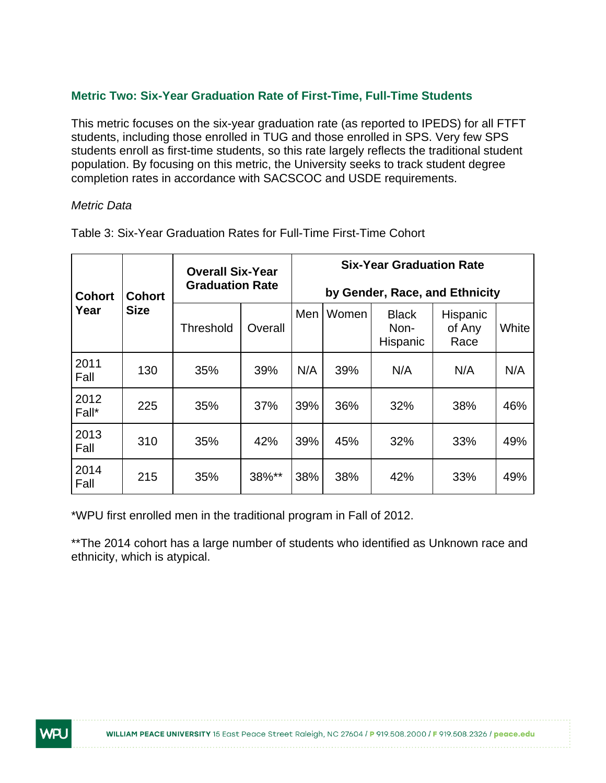#### **Metric Two: Six-Year Graduation Rate of First-Time, Full-Time Students**

This metric focuses on the six-year graduation rate (as reported to IPEDS) for all FTFT students, including those enrolled in TUG and those enrolled in SPS. Very few SPS students enroll as first-time students, so this rate largely reflects the traditional student population. By focusing on this metric, the University seeks to track student degree completion rates in accordance with SACSCOC and USDE requirements.

#### *Metric Data*

| <b>Cohort</b> | <b>Cohort</b>            | <b>Overall Six-Year</b><br><b>Graduation Rate</b> |         |     | <b>Six-Year Graduation Rate</b><br>by Gender, Race, and Ethnicity |                                  |                            |       |  |  |
|---------------|--------------------------|---------------------------------------------------|---------|-----|-------------------------------------------------------------------|----------------------------------|----------------------------|-------|--|--|
| Year          | <b>Size</b><br>Threshold |                                                   | Overall | Men | Women                                                             | <b>Black</b><br>Non-<br>Hispanic | Hispanic<br>of Any<br>Race | White |  |  |
| 2011<br>Fall  | 130                      | 35%                                               | 39%     | N/A | 39%                                                               | N/A                              | N/A                        | N/A   |  |  |
| 2012<br>Fall* | 225                      | 35%                                               | 37%     | 39% | 36%                                                               | 32%                              | 38%                        | 46%   |  |  |
| 2013<br>Fall  | 310                      | 35%                                               | 42%     | 39% | 45%                                                               | 32%                              | 33%                        | 49%   |  |  |
| 2014<br>Fall  | 215                      | 35%                                               | 38%**   | 38% | 38%                                                               | 42%                              | 33%                        | 49%   |  |  |

Table 3: Six-Year Graduation Rates for Full-Time First-Time Cohort

\*WPU first enrolled men in the traditional program in Fall of 2012.

\*\*The 2014 cohort has a large number of students who identified as Unknown race and ethnicity, which is atypical.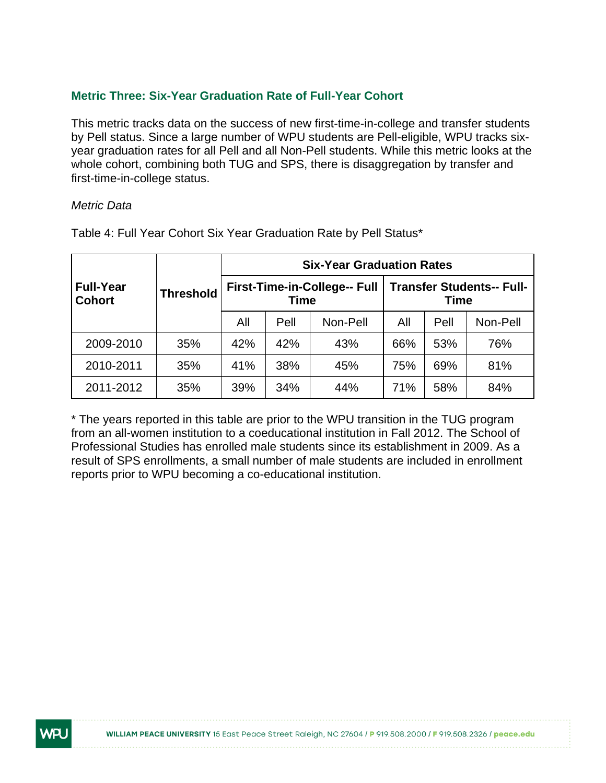#### **Metric Three: Six-Year Graduation Rate of Full-Year Cohort**

This metric tracks data on the success of new first-time-in-college and transfer students by Pell status. Since a large number of WPU students are Pell-eligible, WPU tracks sixyear graduation rates for all Pell and all Non-Pell students. While this metric looks at the whole cohort, combining both TUG and SPS, there is disaggregation by transfer and first-time-in-college status.

#### *Metric Data*

NR.

|                                   |                  | <b>Six-Year Graduation Rates</b> |             |                              |                                                 |      |          |  |  |
|-----------------------------------|------------------|----------------------------------|-------------|------------------------------|-------------------------------------------------|------|----------|--|--|
| <b>Full-Year</b><br><b>Cohort</b> | <b>Threshold</b> |                                  | <b>Time</b> | First-Time-in-College-- Full | <b>Transfer Students-- Full-</b><br><b>Time</b> |      |          |  |  |
|                                   |                  | All                              | Pell        | Non-Pell                     | All                                             | Pell | Non-Pell |  |  |
| 2009-2010                         | 35%              | 42%                              | 42%         | 43%                          | 66%                                             | 53%  | 76%      |  |  |
| 2010-2011                         | 35%              | 41%                              | 38%         | 45%                          | 75%                                             | 69%  | 81%      |  |  |
| 2011-2012                         | 35%              | 39%                              | 34%         | 44%                          | 71%                                             | 58%  | 84%      |  |  |

Table 4: Full Year Cohort Six Year Graduation Rate by Pell Status\*

\* The years reported in this table are prior to the WPU transition in the TUG program from an all-women institution to a coeducational institution in Fall 2012. The School of Professional Studies has enrolled male students since its establishment in 2009. As a result of SPS enrollments, a small number of male students are included in enrollment reports prior to WPU becoming a co-educational institution.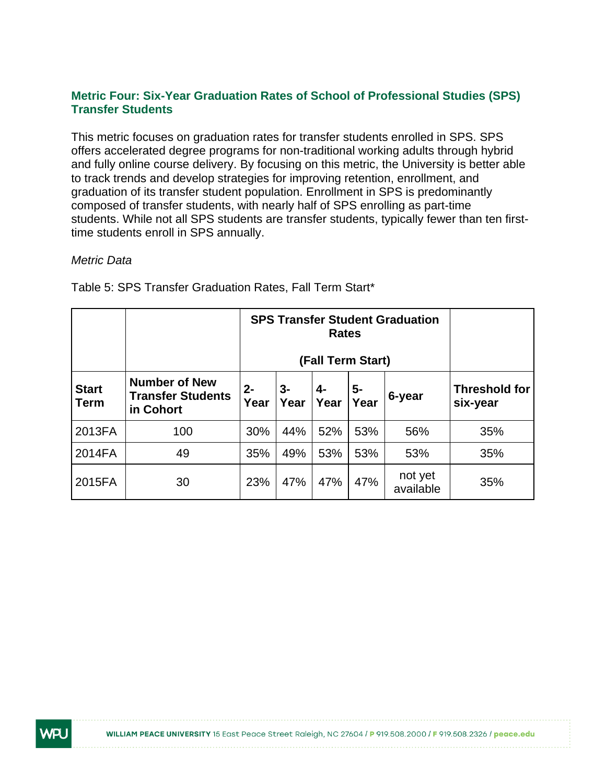#### **Metric Four: Six-Year Graduation Rates of School of Professional Studies (SPS) Transfer Students**

This metric focuses on graduation rates for transfer students enrolled in SPS. SPS offers accelerated degree programs for non-traditional working adults through hybrid and fully online course delivery. By focusing on this metric, the University is better able to track trends and develop strategies for improving retention, enrollment, and graduation of its transfer student population. Enrollment in SPS is predominantly composed of transfer students, with nearly half of SPS enrolling as part-time students. While not all SPS students are transfer students, typically fewer than ten firsttime students enroll in SPS annually.

#### *Metric Data*

|                             |                                                               |               | <b>SPS Transfer Student Graduation</b><br>(Fall Term Start) |            |            |                      |                                  |
|-----------------------------|---------------------------------------------------------------|---------------|-------------------------------------------------------------|------------|------------|----------------------|----------------------------------|
| <b>Start</b><br><b>Term</b> | <b>Number of New</b><br><b>Transfer Students</b><br>in Cohort | $2 -$<br>Year | $3-$<br>Year                                                | 4-<br>Year | 5-<br>Year | 6-year               | <b>Threshold for</b><br>six-year |
| 2013FA                      | 100                                                           | 30%           | 44%                                                         | 52%        | 53%        | 56%                  | 35%                              |
| 2014FA                      | 49                                                            | 35%           | 49%                                                         | 53%        | 53%        | 53%                  | 35%                              |
| 2015FA                      | 30                                                            | 23%           | 47%                                                         | 47%        | 47%        | not yet<br>available | 35%                              |

Table 5: SPS Transfer Graduation Rates, Fall Term Start\*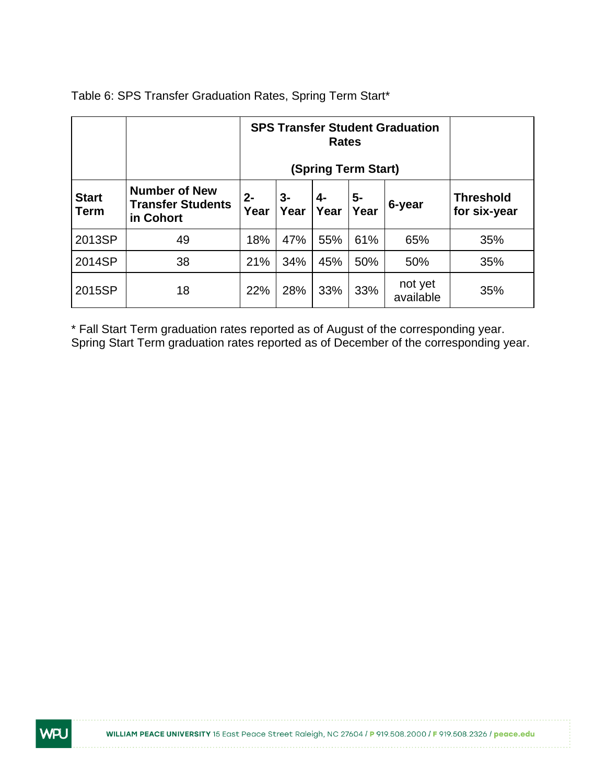|                             |                                                               |               | <b>SPS Transfer Student Graduation</b><br>(Spring Term Start) |            |              |                      |                                  |
|-----------------------------|---------------------------------------------------------------|---------------|---------------------------------------------------------------|------------|--------------|----------------------|----------------------------------|
| <b>Start</b><br><b>Term</b> | <b>Number of New</b><br><b>Transfer Students</b><br>in Cohort | $2 -$<br>Year | $3-$<br>Year                                                  | 4-<br>Year | $5-$<br>Year | 6-year               | <b>Threshold</b><br>for six-year |
| 2013SP                      | 49                                                            | 18%           | 47%                                                           | 55%        | 61%          | 65%                  | 35%                              |
| 2014SP                      | 38                                                            | 21%           | 34%                                                           | 45%        | 50%          | 50%                  | 35%                              |
| 2015SP                      | 18                                                            | 22%           | 28%                                                           | 33%        | 33%          | not yet<br>available | 35%                              |

Table 6: SPS Transfer Graduation Rates, Spring Term Start\*

\* Fall Start Term graduation rates reported as of August of the corresponding year. Spring Start Term graduation rates reported as of December of the corresponding year.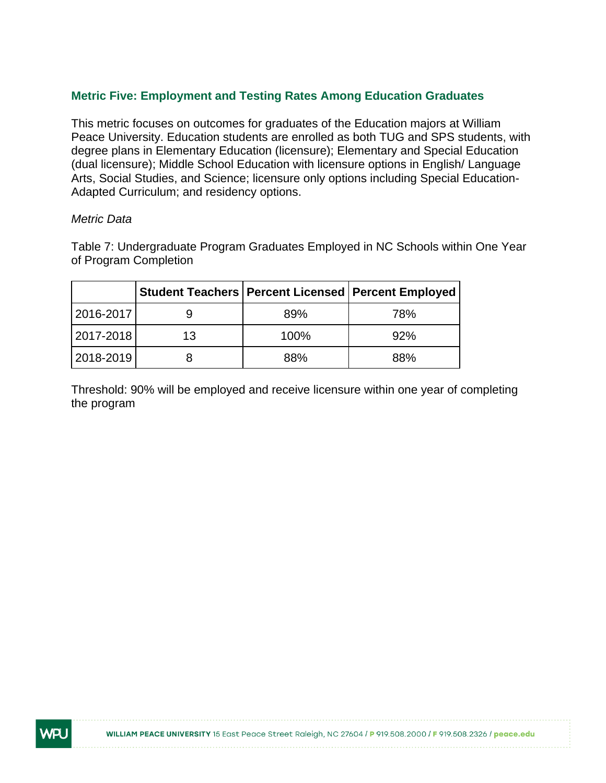#### **Metric Five: Employment and Testing Rates Among Education Graduates**

This metric focuses on outcomes for graduates of the Education majors at William Peace University. Education students are enrolled as both TUG and SPS students, with degree plans in Elementary Education (licensure); Elementary and Special Education (dual licensure); Middle School Education with licensure options in English/ Language Arts, Social Studies, and Science; licensure only options including Special Education-Adapted Curriculum; and residency options.

#### *Metric Data*

NR.

Table 7: Undergraduate Program Graduates Employed in NC Schools within One Year of Program Completion

|           |    |      | Student Teachers   Percent Licensed   Percent Employed |
|-----------|----|------|--------------------------------------------------------|
| 2016-2017 |    | 89%  | 78%                                                    |
| 2017-2018 | 13 | 100% | 92%                                                    |
| 2018-2019 |    | 88%  | 88%                                                    |

Threshold: 90% will be employed and receive licensure within one year of completing the program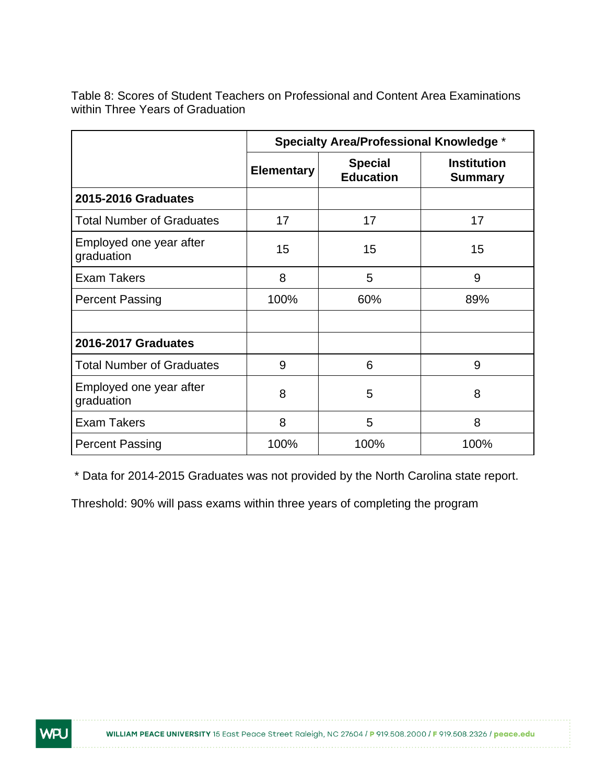Table 8: Scores of Student Teachers on Professional and Content Area Examinations within Three Years of Graduation

|                                       | <b>Specialty Area/Professional Knowledge *</b> |                                    |                                      |  |  |  |  |
|---------------------------------------|------------------------------------------------|------------------------------------|--------------------------------------|--|--|--|--|
|                                       | <b>Elementary</b>                              | <b>Special</b><br><b>Education</b> | <b>Institution</b><br><b>Summary</b> |  |  |  |  |
| 2015-2016 Graduates                   |                                                |                                    |                                      |  |  |  |  |
| <b>Total Number of Graduates</b>      | 17                                             | 17                                 | 17                                   |  |  |  |  |
| Employed one year after<br>graduation | 15                                             | 15                                 | 15                                   |  |  |  |  |
| <b>Exam Takers</b>                    | 8                                              | 5                                  | 9                                    |  |  |  |  |
| <b>Percent Passing</b>                | 100%                                           | 60%                                | 89%                                  |  |  |  |  |
|                                       |                                                |                                    |                                      |  |  |  |  |
| <b>2016-2017 Graduates</b>            |                                                |                                    |                                      |  |  |  |  |
| <b>Total Number of Graduates</b>      | 9                                              | 6                                  | 9                                    |  |  |  |  |
| Employed one year after<br>graduation | 8                                              | 5                                  | 8                                    |  |  |  |  |
| <b>Exam Takers</b>                    | 8                                              | 5                                  | 8                                    |  |  |  |  |
| <b>Percent Passing</b>                | 100%                                           | 100%                               | 100%                                 |  |  |  |  |

\* Data for 2014-2015 Graduates was not provided by the North Carolina state report.

Threshold: 90% will pass exams within three years of completing the program

WPU